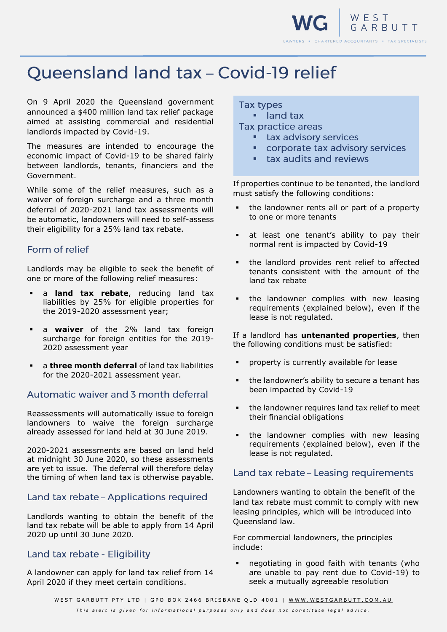

# **Oueensland land tax - Covid-19 relief**

On 9 April 2020 the Queensland government announced a \$400 million land tax relief package aimed at assisting commercial and residential landlords impacted by Covid-19.

The measures are intended to encourage the economic impact of Covid-19 to be shared fairly between landlords, tenants, financiers and the Government.

While some of the relief measures, such as a waiver of foreign surcharge and a three month deferral of 2020-2021 land tax assessments will be automatic, landowners will need to self-assess their eligibility for a 25% land tax rebate.

#### Form of relief

Landlords may be eligible to seek the benefit of one or more of the following relief measures:

- a **land tax rebate**, reducing land tax liabilities by 25% for eligible properties for the 2019-2020 assessment year;
- a **waiver** of the 2% land tax foreign surcharge for foreign entities for the 2019- 2020 assessment year
- a **three month deferral** of land tax liabilities for the 2020-2021 assessment year.

## Automatic waiver and 3 month deferral

Reassessments will automatically issue to foreign landowners to waive the foreign surcharge already assessed for land held at 30 June 2019.

2020-2021 assessments are based on land held at midnight 30 June 2020, so these assessments are yet to issue. The deferral will therefore delay the timing of when land tax is otherwise payable.

#### Land tax rebate - Applications required

Landlords wanting to obtain the benefit of the land tax rebate will be able to apply from 14 April 2020 up until 30 June 2020.

#### Land tax rebate - Eligibility

A landowner can apply for land tax relief from 14 April 2020 if they meet certain conditions.

### **Tax types**

**·** land tax Tax practice areas

- **E** tax advisory services
- corporate tax advisory services
- **E** tax audits and reviews

If properties continue to be tenanted, the landlord must satisfy the following conditions:

- the landowner rents all or part of a property to one or more tenants
- at least one tenant's ability to pay their normal rent is impacted by Covid-19
- the landlord provides rent relief to affected tenants consistent with the amount of the land tax rebate
- the landowner complies with new leasing requirements (explained below), even if the lease is not regulated.

If a landlord has **untenanted properties**, then the following conditions must be satisfied:

- property is currently available for lease
- the landowner's ability to secure a tenant has been impacted by Covid-19
- the landowner requires land tax relief to meet their financial obligations
- the landowner complies with new leasing requirements (explained below), even if the lease is not regulated.

## Land tax rebate - Leasing requirements

Landowners wanting to obtain the benefit of the land tax rebate must commit to comply with new leasing principles, which will be introduced into Queensland law.

For commercial landowners, the principles include:

negotiating in good faith with tenants (who are unable to pay rent due to Covid-19) to seek a mutually agreeable resolution